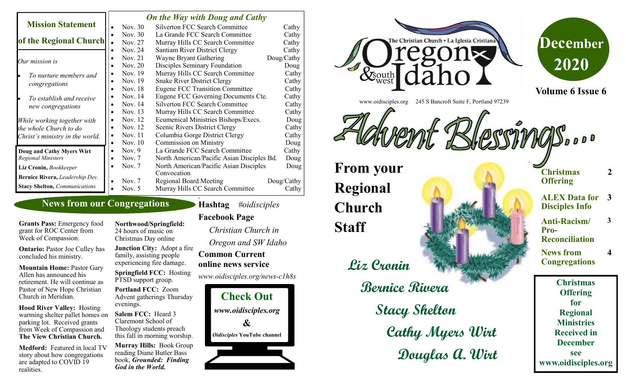|                                               | <b>On the Way with Doug and Cathy</b> |                                            |            |
|-----------------------------------------------|---------------------------------------|--------------------------------------------|------------|
| <b>Mission Statement</b>                      | Nov. 30                               | <b>Silverton FCC Search Committee</b>      | Cathy      |
| of the Regional Church                        | Nov. $30$                             | La Grande FCC Search Committee             | Cathy      |
|                                               | Nov. 27                               | Murray Hills CC Search Committee           | Cathy      |
|                                               | Nov. 24                               | Santiam River District Clergy              | Cathy      |
| Our mission is                                | Nov. 21                               | Wayne Bryant Gathering                     | Doug/Cathy |
|                                               | Nov. 20                               | Disciples Seminary Foundation              | Doug       |
| To nurture members and<br>congregations       | Nov. 19                               | Murray Hills CC Search Committee           | Cathy      |
|                                               | Nov. 19                               | <b>Snake River District Clergy</b>         | Cathy      |
|                                               | Nov. 18                               | <b>Eugene FCC Transition Committee</b>     | Cathy      |
| To establish and receive<br>new congregations | Nov. 14                               | Eugene FCC Governing Documents Cte.        | Cathy      |
|                                               | Nov. 14                               | <b>Silverton FCC Search Committee</b>      | Cathy      |
|                                               | Nov. 13                               | Murray Hills CC Search Committee           | Cathy      |
| While working together with                   | Nov. 12                               | Ecumenical Ministries Bishops/Execs.       | Doug       |
| the whole Church to do                        | Nov. 12                               | Scenic Rivers District Clergy              | Cathy      |
| Christ's ministry in the world.               | Nov. 11                               | Columbia Gorge District Clergy             | Cathy      |
|                                               | Nov. 10                               | <b>Commission on Ministry</b>              | Doug       |
| Doug and Cathy Myers Wirt                     | Nov. $9$                              | La Grande FCC Search Committee             | Cathy      |
| <b>Regional Ministers</b>                     | Nov. 7                                | North American/Pacific Asian Disciples Bd. | Doug       |
| Liz Cronin, Bookkeeper                        | Nov. 7                                | North American/Pacific Asian Disciples     | Doug       |
| Bernice Rivera, Leadership Dev.               |                                       | Convocation                                |            |
| <b>Stacy Shelton, Communications</b>          | Nov. $7$                              | <b>Regional Board Meeting</b>              | Doug/Cathy |
|                                               | Nov. $5$                              | Murray Hills CC Search Committee           | Cathy      |

## **News from our Congregations**

**Hashtag** *#oidisciples* **Facebook Page** 

**1**

**Grants Pass:** Emergency food grant for ROC Center from Week of Compassion.

**Ontario: Pastor Joe Culley has** concluded his ministry.

**Mountain Home:** Pastor Gary Allen has announced his retirement. He will continue as Pastor of New Hope Christian Church in Meridian.

**Hood River Valley:** Hosting warming shelter pallet homes on parking lot. Received grants from Week of Compassion and **The View Christian Church.**

**Medford:** Featured in local TV story about how congregations are adapted to COVID 19 realities.

**Northwood/Springfield:**  24 hours of music on Christmas Day online

**Junction City:** Adopt a fire family, assisting people experiencing fire damage.

**Springfield FCC:** Hosting PTSD support group.

**Portland FCC:** Zoom Advent gatherings Thursday evenings.

**Salem FCC:** Heard 3 Claremont School of Theology students preach this fall in morning worship.

**Murray Hills:** Book Group reading Diane Butler Bass book, *Grounded: Finding God in the World.*

*Christian Church in Oregon and SW Idaho* **Common Current online news service**

*www.oidisciples.org/news-c1h8s*